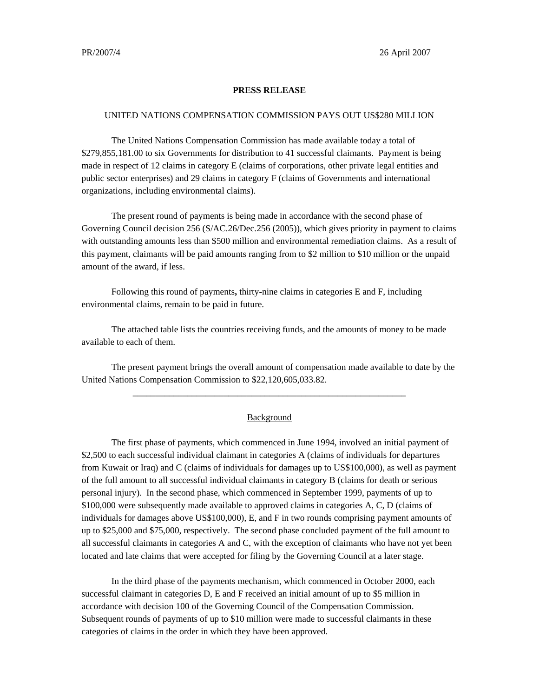## **PRESS RELEASE**

## UNITED NATIONS COMPENSATION COMMISSION PAYS OUT US\$280 MILLION

The United Nations Compensation Commission has made available today a total of \$279,855,181.00 to six Governments for distribution to 41 successful claimants. Payment is being made in respect of 12 claims in category E (claims of corporations, other private legal entities and public sector enterprises) and 29 claims in category F (claims of Governments and international organizations, including environmental claims).

The present round of payments is being made in accordance with the second phase of Governing Council decision 256 (S/AC.26/Dec.256 (2005)), which gives priority in payment to claims with outstanding amounts less than \$500 million and environmental remediation claims. As a result of this payment, claimants will be paid amounts ranging from to \$2 million to \$10 million or the unpaid amount of the award, if less.

Following this round of payments**,** thirty-nine claims in categories E and F, including environmental claims, remain to be paid in future.

The attached table lists the countries receiving funds, and the amounts of money to be made available to each of them.

The present payment brings the overall amount of compensation made available to date by the United Nations Compensation Commission to \$22,120,605,033.82.

## **Background**

\_\_\_\_\_\_\_\_\_\_\_\_\_\_\_\_\_\_\_\_\_\_\_\_\_\_\_\_\_\_\_\_\_\_\_\_\_\_\_\_\_\_\_\_\_\_\_\_\_\_\_\_\_\_\_\_\_\_\_\_

The first phase of payments, which commenced in June 1994, involved an initial payment of \$2,500 to each successful individual claimant in categories A (claims of individuals for departures from Kuwait or Iraq) and C (claims of individuals for damages up to US\$100,000), as well as payment of the full amount to all successful individual claimants in category B (claims for death or serious personal injury). In the second phase, which commenced in September 1999, payments of up to \$100,000 were subsequently made available to approved claims in categories A, C, D (claims of individuals for damages above US\$100,000), E, and F in two rounds comprising payment amounts of up to \$25,000 and \$75,000, respectively. The second phase concluded payment of the full amount to all successful claimants in categories A and C, with the exception of claimants who have not yet been located and late claims that were accepted for filing by the Governing Council at a later stage.

In the third phase of the payments mechanism, which commenced in October 2000, each successful claimant in categories D, E and F received an initial amount of up to \$5 million in accordance with decision 100 of the Governing Council of the Compensation Commission. Subsequent rounds of payments of up to \$10 million were made to successful claimants in these categories of claims in the order in which they have been approved.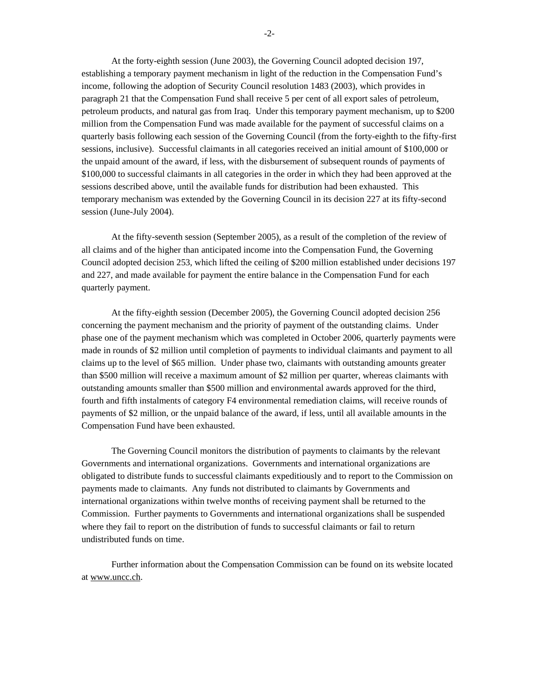At the forty-eighth session (June 2003), the Governing Council adopted decision 197, establishing a temporary payment mechanism in light of the reduction in the Compensation Fund's income, following the adoption of Security Council resolution 1483 (2003), which provides in paragraph 21 that the Compensation Fund shall receive 5 per cent of all export sales of petroleum, petroleum products, and natural gas from Iraq. Under this temporary payment mechanism, up to \$200 million from the Compensation Fund was made available for the payment of successful claims on a quarterly basis following each session of the Governing Council (from the forty-eighth to the fifty-first sessions, inclusive). Successful claimants in all categories received an initial amount of \$100,000 or the unpaid amount of the award, if less, with the disbursement of subsequent rounds of payments of \$100,000 to successful claimants in all categories in the order in which they had been approved at the sessions described above, until the available funds for distribution had been exhausted. This temporary mechanism was extended by the Governing Council in its decision 227 at its fifty-second session (June-July 2004).

At the fifty-seventh session (September 2005), as a result of the completion of the review of all claims and of the higher than anticipated income into the Compensation Fund, the Governing Council adopted decision 253, which lifted the ceiling of \$200 million established under decisions 197 and 227, and made available for payment the entire balance in the Compensation Fund for each quarterly payment.

At the fifty-eighth session (December 2005), the Governing Council adopted decision 256 concerning the payment mechanism and the priority of payment of the outstanding claims. Under phase one of the payment mechanism which was completed in October 2006, quarterly payments were made in rounds of \$2 million until completion of payments to individual claimants and payment to all claims up to the level of \$65 million. Under phase two, claimants with outstanding amounts greater than \$500 million will receive a maximum amount of \$2 million per quarter, whereas claimants with outstanding amounts smaller than \$500 million and environmental awards approved for the third, fourth and fifth instalments of category F4 environmental remediation claims, will receive rounds of payments of \$2 million, or the unpaid balance of the award, if less, until all available amounts in the Compensation Fund have been exhausted.

The Governing Council monitors the distribution of payments to claimants by the relevant Governments and international organizations. Governments and international organizations are obligated to distribute funds to successful claimants expeditiously and to report to the Commission on payments made to claimants. Any funds not distributed to claimants by Governments and international organizations within twelve months of receiving payment shall be returned to the Commission. Further payments to Governments and international organizations shall be suspended where they fail to report on the distribution of funds to successful claimants or fail to return undistributed funds on time.

Further information about the Compensation Commission can be found on its website located at www.uncc.ch.